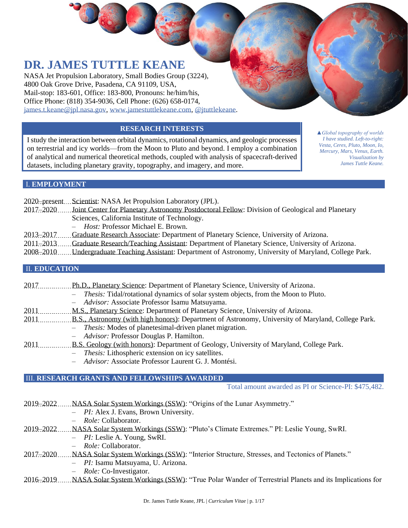# **DR. JAMES TUTTLE KEANE**

NASA Jet Propulsion Laboratory, Small Bodies Group (3224), 4800 Oak Grove Drive, Pasadena, CA 91109, USA, Mail-stop: 183-601, Office: 183-800, Pronouns: he/him/his, Office Phone: (818) 354-9036, Cell Phone: (626) 658-0174, [james.t.keane@jpl.nasa.gov,](mailto:james.t.keane@jpl.nasa.gov) [www.jamestuttlekeane.com,](http://www.jamestuttlekeane.com/) [@jtuttlekeane.](https://twitter.com/jtuttlekeane)

### **RESEARCH INTERESTS**

I study the interaction between orbital dynamics, rotational dynamics, and geologic processes on terrestrial and icy worlds—from the Moon to Pluto and beyond. I employ a combination of analytical and numerical theoretical methods, coupled with analysis of spacecraft-derived datasets, including planetary gravity, topography, and imagery, and more.

*▲Global topography of worlds I have studied. Left-to-right: Vesta, Ceres, Pluto, Moon, Io, Mercury, Mars, Venus, Earth. Visualization by James Tuttle Keane.*

## I. **EMPLOYMENT**

|                      | 2020–present Scientist: NASA Jet Propulsion Laboratory (JPL).                                    |  |
|----------------------|--------------------------------------------------------------------------------------------------|--|
| $2017 - 2020$        | Joint Center for Planetary Astronomy Postdoctoral Fellow: Division of Geological and Planetary   |  |
|                      | Sciences, California Institute of Technology.                                                    |  |
|                      | - <i>Host:</i> Professor Michael E. Brown.                                                       |  |
| 2013-2017            | Graduate Research Associate: Department of Planetary Science, University of Arizona.             |  |
| $2011 - 2013$        | Graduate Research/Teaching Assistant: Department of Planetary Science, University of Arizona.    |  |
| 2008–2010            | Undergraduate Teaching Assistant: Department of Astronomy, University of Maryland, College Park. |  |
|                      |                                                                                                  |  |
| <b>II. EDUCATION</b> |                                                                                                  |  |

| 2017 | Ph.D., Planetary Science: Department of Planetary Science, University of Arizona.                  |
|------|----------------------------------------------------------------------------------------------------|
|      | - <i>Thesis:</i> Tidal/rotational dynamics of solar system objects, from the Moon to Pluto.        |
|      | - Advisor: Associate Professor Isamu Matsuyama.                                                    |
| 2011 | M.S., Planetary Science: Department of Planetary Science, University of Arizona.                   |
| 2011 | B.S., Astronomy (with high honors): Department of Astronomy, University of Maryland, College Park. |
|      | - <i>Thesis:</i> Modes of planetesimal-driven planet migration.                                    |
|      | - Advisor: Professor Douglas P. Hamilton.                                                          |

- 2011 B.S. Geology (with honors): Department of Geology, University of Maryland, College Park.
	- *Thesis:* Lithospheric extension on icy satellites.
		- *Advisor:* Associate Professor Laurent G. J. Montési.

#### III. **RESEARCH GRANTS AND FELLOWSHIPS AWARDED**

Total amount awarded as PI or Science-PI: \$475,482.

|  |  | 2019–2022  NASA Solar System Workings (SSW): "Origins of the Lunar Asymmetry." |
|--|--|--------------------------------------------------------------------------------|
|  |  |                                                                                |

- *PI:* Alex J. Evans, Brown University.
- *Role:* Collaborator.
- 2019–2022 NASA Solar System Workings (SSW): "Pluto's Climate Extremes." PI: Leslie Young, SwRI.
	- *PI:* Leslie A. Young, SwRI.
	- *Role:* Collaborator.
- 2017–2020 NASA Solar System Workings (SSW): "Interior Structure, Stresses, and Tectonics of Planets."
	- *PI:* Isamu Matsuyama, U. Arizona.
	- *Role:* Co-Investigator.

#### 2016–2019 NASA Solar System Workings (SSW): "True Polar Wander of Terrestrial Planets and its Implications for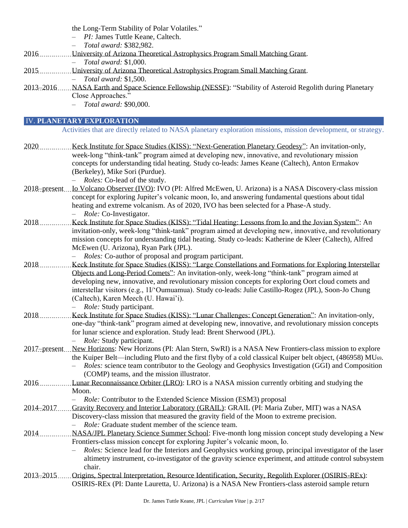|                 | the Long-Term Stability of Polar Volatiles."<br>- <i>PI</i> : James Tuttle Keane, Caltech.<br>Total award: \$382,982.                                                                                                                                                                                                                                                                                                                                                                       |
|-----------------|---------------------------------------------------------------------------------------------------------------------------------------------------------------------------------------------------------------------------------------------------------------------------------------------------------------------------------------------------------------------------------------------------------------------------------------------------------------------------------------------|
| 2016            | University of Arizona Theoretical Astrophysics Program Small Matching Grant.<br>Total award: \$1,000.                                                                                                                                                                                                                                                                                                                                                                                       |
| 2015.           | University of Arizona Theoretical Astrophysics Program Small Matching Grant.<br>Total award: \$1,500.                                                                                                                                                                                                                                                                                                                                                                                       |
| 2013-2016       | NASA Earth and Space Science Fellowship (NESSF): "Stability of Asteroid Regolith during Planetary<br>Close Approaches."<br>Total award: \$90,000.                                                                                                                                                                                                                                                                                                                                           |
|                 | <b>IV. PLANETARY EXPLORATION</b>                                                                                                                                                                                                                                                                                                                                                                                                                                                            |
|                 | Activities that are directly related to NASA planetary exploration missions, mission development, or strategy.                                                                                                                                                                                                                                                                                                                                                                              |
| 2020.           | Keck Institute for Space Studies (KISS): "Next-Generation Planetary Geodesy": An invitation-only,<br>week-long "think-tank" program aimed at developing new, innovative, and revolutionary mission<br>concepts for understanding tidal heating. Study co-leads: James Keane (Caltech), Anton Ermakov<br>(Berkeley), Mike Sori (Purdue).<br>Roles: Co-lead of the study.                                                                                                                     |
| $2018$ -present | Lo Volcano Observer (IVO): IVO (PI: Alfred McEwen, U. Arizona) is a NASA Discovery-class mission<br>concept for exploring Jupiter's volcanic moon, Io, and answering fundamental questions about tidal<br>heating and extreme volcanism. As of 2020, IVO has been selected for a Phase-A study.<br>Role: Co-Investigator.                                                                                                                                                                   |
| 2018            | Keck Institute for Space Studies (KISS): "Tidal Heating: Lessons from Io and the Jovian System": An<br>invitation-only, week-long "think-tank" program aimed at developing new, innovative, and revolutionary<br>mission concepts for understanding tidal heating. Study co-leads: Katherine de Kleer (Caltech), Alfred<br>McEwen (U. Arizona), Ryan Park (JPL).<br>Roles: Co-author of proposal and program participant.                                                                   |
| 2018            | Keck Institute for Space Studies (KISS): "Large Constellations and Formations for Exploring Interstellar<br>Objects and Long-Period Comets": An invitation-only, week-long "think-tank" program aimed at<br>developing new, innovative, and revolutionary mission concepts for exploring Oort cloud comets and<br>interstellar visitors (e.g., 1I/'Oumuamua). Study co-leads: Julie Castillo-Rogez (JPL), Soon-Jo Chung<br>(Caltech), Karen Meech (U. Hawai'i).<br>Role: Study participant. |
| 2018.           | Keck Institute for Space Studies (KISS): "Lunar Challenges: Concept Generation": An invitation-only,<br>one-day "think-tank" program aimed at developing new, innovative, and revolutionary mission concepts<br>for lunar science and exploration. Study lead: Brent Sherwood (JPL).<br>Role: Study participant.                                                                                                                                                                            |
|                 | 2017–present New Horizons: New Horizons (PI: Alan Stern, SwRI) is a NASA New Frontiers-class mission to explore<br>the Kuiper Belt—including Pluto and the first flyby of a cold classical Kuiper belt object, (486958) MU <sub>69</sub> .<br>Roles: science team contributor to the Geology and Geophysics Investigation (GGI) and Composition<br>(COMP) teams, and the mission illustrator.                                                                                               |
| 2016            | Lunar Reconnaissance Orbiter (LRO): LRO is a NASA mission currently orbiting and studying the<br>Moon.<br><i>Role:</i> Contributor to the Extended Science Mission (ESM3) proposal<br>$\overline{\phantom{0}}$                                                                                                                                                                                                                                                                              |
| 2014-2017       | Gravity Recovery and Interior Laboratory (GRAIL): GRAIL (PI: Maria Zuber, MIT) was a NASA<br>Discovery-class mission that measured the gravity field of the Moon to extreme precision.<br>Role: Graduate student member of the science team.                                                                                                                                                                                                                                                |
| 2014            | NASA/JPL Planetary Science Summer School: Five-month long mission concept study developing a New<br>Frontiers-class mission concept for exploring Jupiter's volcanic moon, Io.<br>Roles: Science lead for the Interiors and Geophysics working group, principal investigator of the laser<br>altimetry instrument, co-investigator of the gravity science experiment, and attitude control subsystem<br>chair.                                                                              |
| 2013-2015       | Origins, Spectral Interpretation, Resource Identification, Security, Regolith Explorer (OSIRIS-REx):<br>OSIRIS-REx (PI: Dante Lauretta, U. Arizona) is a NASA New Frontiers-class asteroid sample return                                                                                                                                                                                                                                                                                    |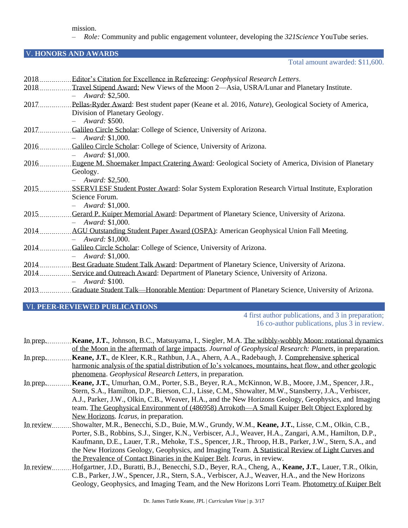mission.

– *Role:* Community and public engagement volunteer, developing the *321Science* YouTube series.

#### V. **HONORS AND AWARDS**

Total amount awarded: \$11,600.

| 2018  | Editor's Citation for Excellence in Refereeing: Geophysical Research Letters.                            |
|-------|----------------------------------------------------------------------------------------------------------|
| 2018  | Travel Stipend Award: New Views of the Moon 2—Asia, USRA/Lunar and Planetary Institute.                  |
|       | Award: \$2,500.                                                                                          |
| 2017  | Pellas-Ryder Award: Best student paper (Keane et al. 2016, Nature), Geological Society of America,       |
|       | Division of Planetary Geology.                                                                           |
|       | Award: \$500.                                                                                            |
| 2017  | Galileo Circle Scholar: College of Science, University of Arizona.                                       |
|       | $-$ Award: \$1,000.                                                                                      |
| 2016. | Galileo Circle Scholar: College of Science, University of Arizona.                                       |
|       | $-$ Award: \$1,000.                                                                                      |
| 2016  | Eugene M. Shoemaker Impact Cratering Award: Geological Society of America, Division of Planetary         |
|       | Geology.                                                                                                 |
|       | Award: \$2,500.                                                                                          |
| 2015  | <b>SSERVI ESF Student Poster Award: Solar System Exploration Research Virtual Institute, Exploration</b> |
|       | Science Forum.                                                                                           |
|       | $-$ Award: \$1,000.                                                                                      |
| 2015. | Gerard P. Kuiper Memorial Award: Department of Planetary Science, University of Arizona.                 |
|       | Award: \$1,000.                                                                                          |
| 2014  | AGU Outstanding Student Paper Award (OSPA): American Geophysical Union Fall Meeting.                     |
|       | Award: \$1,000.                                                                                          |
| 2014  | Galileo Circle Scholar: College of Science, University of Arizona.                                       |
|       | $-$ Award: \$1,000.                                                                                      |
| 2014  | Best Graduate Student Talk Award: Department of Planetary Science, University of Arizona.                |
| 2014  | Service and Outreach Award: Department of Planetary Science, University of Arizona.                      |
|       | Award: \$100.                                                                                            |
| 2013. | Graduate Student Talk—Honorable Mention: Department of Planetary Science, University of Arizona.         |

# VI. **PEER-REVIEWED PUBLICATIONS**

4 first author publications, and 3 in preparation; 16 co-author publications, plus 3 in review.

| In prep.   | Keane, J.T., Johnson, B.C., Matsuyama, I., Siegler, M.A. The wibbly-wobbly Moon: rotational dynamics      |
|------------|-----------------------------------------------------------------------------------------------------------|
|            | of the Moon in the aftermath of large impacts. Journal of Geophysical Research: Planets, in preparation.  |
| In prep.   | Keane, J.T., de Kleer, K.R., Rathbun, J.A., Ahern, A.A., Radebaugh, J. Comprehensive spherical            |
|            | harmonic analysis of the spatial distribution of Io's volcances, mountains, heat flow, and other geologic |
|            | phenomena. Geophysical Research Letters, in preparation.                                                  |
| In prep.   | Keane, J.T., Umurhan, O.M., Porter, S.B., Beyer, R.A., McKinnon, W.B., Moore, J.M., Spencer, J.R.,        |
|            | Stern, S.A., Hamilton, D.P., Bierson, C.J., Lisse, C.M., Showalter, M.W., Stansberry, J.A., Verbiscer,    |
|            | A.J., Parker, J.W., Olkin, C.B., Weaver, H.A., and the New Horizons Geology, Geophysics, and Imaging      |
|            | team. The Geophysical Environment of (486958) Arrokoth—A Small Kuiper Belt Object Explored by             |
|            | New Horizons. <i>Icarus</i> , in preparation.                                                             |
| In review  | Showalter, M.R., Benecchi, S.D., Buie, M.W., Grundy, W.M., Keane, J.T., Lisse, C.M., Olkin, C.B.,         |
|            | Porter, S.B., Robbins, S.J., Singer, K.N., Verbiscer, A.J., Weaver, H.A., Zangari, A.M., Hamilton, D.P.,  |
|            | Kaufmann, D.E., Lauer, T.R., Mehoke, T.S., Spencer, J.R., Throop, H.B., Parker, J.W., Stern, S.A., and    |
|            | the New Horizons Geology, Geophysics, and Imaging Team. A Statistical Review of Light Curves and          |
|            | the Prevalence of Contact Binaries in the Kuiper Belt. Icarus, in review.                                 |
| In review. | Hofgartner, J.D., Buratti, B.J., Benecchi, S.D., Beyer, R.A., Cheng, A., Keane, J.T., Lauer, T.R., Olkin, |
|            | C.B., Parker, J.W., Spencer, J.R., Stern, S.A., Verbiscer, A.J., Weaver, H.A., and the New Horizons       |
|            | Geology, Geophysics, and Imaging Team, and the New Horizons Lorri Team. Photometry of Kuiper Belt         |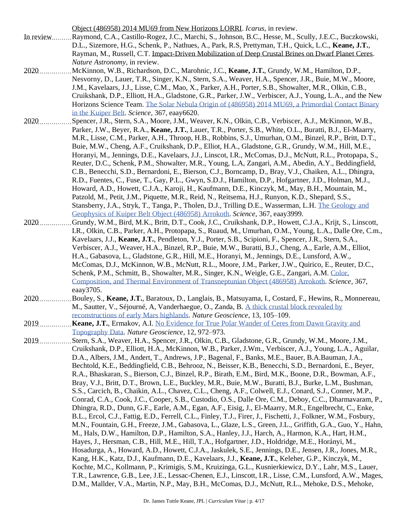Object (486958) 2014 MU69 from New Horizons LORRI. *Icarus*, in review.

- In review Raymond, C.A., Castillo-Rogez, J.C., Marchi, S., Johnson, B.C., Hesse, M., Scully, J.E.C., Buczkowski, D.L., Sizemore, H.G., Schenk, P., Nathues, A., Park, R.S, Prettyman, T.H., Quick, L.C., **Keane, J.T.**, Rayman, M., Russell, C.T. Impact-Driven Mobilization of Deep Crustal Brines on Dwarf Planet Ceres. *Nature Astronomy*, in review.
- 2020 McKinnon, W.B., Richardson, D.C., Marohnic, J.C., **Keane, J.T.**, Grundy, W.M., Hamilton, D.P., Nesvorny, D., Lauer, T.R., Singer, K.N., Stern, S.A., Weaver, H.A., Spencer, J.R., Buie, M.W., Moore, J.M., Kavelaars, J.J., Lisse, C.M., Mao, X., Parker, A.H., Porter, S.B., Showalter, M.R., Olkin, C.B., Cruikshank, D.P., Elliott, H.A., Gladstone, G.R., Parker, J.W., Verbiscer, A.J., Young, L.A., and the New Horizons Science Team[. The Solar Nebula Origin of \(486958\) 2014 MU69, a Primordial Contact Binary](https://science.sciencemag.org/content/367/6481/eaay6620)  [in the Kuiper Belt.](https://science.sciencemag.org/content/367/6481/eaay6620) *Science*, 367, eaay6620.
- 2020 Spencer, J.R., Stern, S.A., Moore, J.M., Weaver, K.N., Olkin, C.B., Verbiscer, A.J., McKinnon, W.B., Parker, J.W., Beyer, R.A., **Keane, J.T.**, Lauer, T.R., Porter, S.B., White, O.L., Buratti, B.J., El-Maarry, M.R., Lisse, C.M., Parker, A.H., Throop, H.B., Robbins, S.J., Umurhan, O.M., Binzel, R.P., Britt, D.T., Buie, M.W., Cheng, A.F., Cruikshank, D.P., Elliot, H.A., Gladstone, G.R., Grundy, W.M., Hill, M.E., Horanyi, M., Jennings, D.E., Kavelaars, J.J., Linscot, I.R., McComas, D.J., McNutt, R.L., Protopapa, S., Reuter, D.C., Schenk, P.M., Showalter, M.R., Young, L.A, Zangari, A.M., Abedin, A.Y., Beddingfield, C.B., Benecchi, S.D., Bernardoni, E., Bierson, C.J., Borncamp, D., Bray, V.J., Chaiken, A.L., Dhingra, R.D., Fuentes, C., Fuse, T., Gay, P.L., Gwyn, S.D.J., Hamilton, D.P., Hofgartner, J.D., Holman, M.J., Howard, A.D., Howett, C.J.A., Karoji, H., Kaufmann, D.E., Kinczyk, M., May, B.H., Mountain, M., Patzold, M., Petit, J.M., Piquette, M.R., Reid, N., Reitsema, H.J., Runyon, K.D., Shepard, S.S., Stansberry, J.A., Stryk, T., Tanga, P., Tholen, D.J., Trilling D.E., Wasserman, L.H. [The Geology and](https://science.sciencemag.org/content/367/6481/eaay3999)  [Geophysics of Kuiper Belt Object](https://science.sciencemag.org/content/367/6481/eaay3999) (486958) Arrokoth. *Science*, 367, eaay3999.
- 2020 Grundy, W.M., Bird, M.K., Britt, D.T., Cook, J.C., Cruikshank, D.P., Howett, C.J.A., Krijt, S., Linscott, I.R., Olkin, C.B., Parker, A.H., Protopapa, S., Ruaud, M., Umurhan, O.M., Young, L.A., Dalle Ore, C.m., Kavelaars, J.J., **Keane, J.T.**, Pendleton, Y.J., Porter, S.B., Scipioni, F., Spencer, J.R., Stern, S.A., Verbiscer, A.J., Weaver, H.A., Binzel, R.P., Buie, M.W., Buratti, B.J., Cheng, A., Earle, A.M., Elliot, H.A., Gabasova, L., Gladstone, G.R., Hill, M.E., Horanyi, M., Jennings, D.E., Lunsford, A.W., McComas, D.J., McKinnon, W.B., McNutt, R.L., Moore, J.M., Parker, J.W., Quirico, E., Reuter, D.C., Schenk, P.M., Schmitt, B., Showalter, M.R., Singer, K.N., Weigle, G.E., Zangari, A.M. [Color,](https://science.sciencemag.org/content/367/6481/eaay3705)  [Composition, and Thermal Environment of Transneptunian Object \(486958\) Arrokoth.](https://science.sciencemag.org/content/367/6481/eaay3705) *Science*, 367, eaay3705.
- 2020 Bouley, S., **Keane, J.T.**, Baratoux, D., Langlais, B., Matsuyama, I., Costard, F., Hewins, R., Monnereau, M., Sautter, V., Séjourné, A, Vanderhaegue, O., Zanda, B. [A thick crustal block revealed by](https://rdcu.be/b2QmC)  [reconstructions of early Mars highlands.](https://rdcu.be/b2QmC) *Nature Geoscience*, 13, 105–109.
- 2019 **Keane, J.T.**, Ermakov, A.I. [No Evidence for True Polar Wander of Ceres from Dawn Gravity and](https://rdcu.be/bXQgP)  [Topography Data.](https://rdcu.be/bXQgP) *Nature Geoscience*, 12, 972–973.
- 2019 Stern, S.A., Weaver, H.A., Spencer, J.R., Olkin, C.B., Gladstone, G.R., Grundy, W.M., Moore, J.M., Cruikshank, D.P., Elliott, H.A., McKinnon, W.B., Parker, J.Wm., Verbiscer, A.J., Young, L.A., Aguilar, D.A., Albers, J.M., Andert, T., Andrews, J.P., Bagenal, F., Banks, M.E., Bauer, B.A.Bauman, J.A., Bechtold, K.E., Beddingfield, C.B., Behrooz, N., Beisser, K.B., Benecchi, S.D., Bernardoni, E., Beyer, R.A., Bhaskaran, S., Bierson, C.J., Binzel, R.P., Birath, E.M., Bird, M.K., Boone, D.R., Bowman, A.F., Bray, V.J., Britt, D.T., Brown, L.E., Buckley, M.R., Buie, M.W., Buratti, B.J., Burke, L.M., Bushman, S.S., Carcich, B., Chaikin, A.L., Chavez, C.L., Cheng, A.F., Colwell, E.J., Conard, S.J., Conner, M.P., Conrad, C.A., Cook, J.C., Cooper, S.B., Custodio, O.S., Dalle Ore, C.M., Deboy, C.C., Dharmavaram, P., Dhingra, R.D., Dunn, G.F., Earle, A.M., Egan, A.F., Eisig, J., El-Maarry, M.R., Engelbrecht, C., Enke, B.L., Ercol, C.J., Fattig, E.D., Ferrell, C.L., Finley, T.J., Firer, J., Fischetti, J., Folkner, W.M., Fosbury, M.N., Fountain, G.H., Freeze, J.M., Gabasova, L., Glaze, L.S., Green, J.L., Griffith, G.A., Guo, Y., Hahn, M., Hals, D.W., Hamilton, D.P., Hamilton, S.A., Hanley, J.J., Harch, A., Harmon, K.A., Hart, H.M., Hayes, J., Hersman, C.B., Hill, M.E., Hill, T.A., Hofgartner, J.D., Holdridge, M.E., Horányi, M., Hosadurga, A., Howard, A.D., Howett, C.J.A., Jaskulek, S.E., Jennings, D.E., Jensen, J.R., Jones, M.R., Kang, H.K., Katz, D.J., Kaufmann, D.E., Kavelaars, J.J., **Keane, J.T.**, Keleher, G.P., Kinczyk, M., Kochte, M.C., Kollmann, P., Krimigis, S.M., Kruizinga, G.L., Kusnierkiewicz, D.Y., Lahr, M.S., Lauer, T.R., Lawrence, G.B., Lee, J.E., Lessac-Chenen, E.J., Linscott, I.R., Lisse, C.M., Lunsford, A.W., Mages, D.M., Mallder, V.A., Martin, N.P., May, B.H., McComas, D.J., McNutt, R.L., Mehoke, D.S., Mehoke,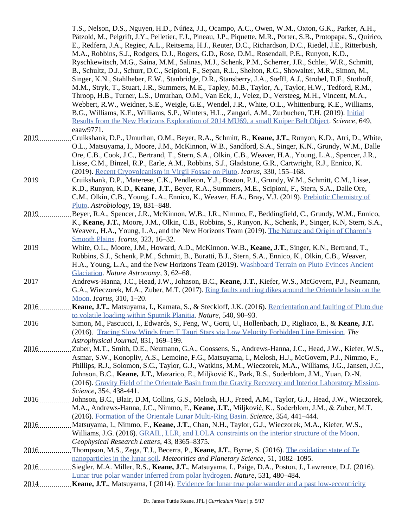T.S., Nelson, D.S., Nguyen, H.D., Núñez, J.I., Ocampo, A.C., Owen, W.M., Oxton, G.K., Parker, A.H., Pätzold, M., Pelgrift, J.Y., Pelletier, F.J., Pineau, J.P., Piquette, M.R., Porter, S.B., Protopapa, S., Quirico, E., Redfern, J.A., Regiec, A.L., Reitsema, H.J., Reuter, D.C., Richardson, D.C., Riedel, J.E., Ritterbush, M.A., Robbins, S.J., Rodgers, D.J., Rogers, G.D., Rose, D.M., Rosendall, P.E., Runyon, K.D., Ryschkewitsch, M.G., Saina, M.M., Salinas, M.J., Schenk, P.M., Scherrer, J.R., Schlei, W.R., Schmitt, B., Schultz, D.J., Schurr, D.C., Scipioni, F., Sepan, R.L., Shelton, R.G., Showalter, M.R., Simon, M., Singer, K.N., Stahlheber, E.W., Stanbridge, D.R., Stansberry, J.A., Steffl, A.J., Strobel, D.F., Stothoff, M.M., Stryk, T., Stuart, J.R., Summers, M.E., Tapley, M.B., Taylor, A., Taylor, H.W., Tedford, R.M., Throop, H.B., Turner, L.S., Umurhan, O.M., Van Eck, J., Velez, D., Versteeg, M.H., Vincent, M.A., Webbert, R.W., Weidner, S.E., Weigle, G.E., Wendel, J.R., White, O.L., Whittenburg, K.E., Williams, B.G., Williams, K.E., Williams, S.P., Winters, H.L., Zangari, A.M., Zurbuchen, T.H. (2019). [Initial](https://doi.org/10.1126/science.aaw9771)  [Results from the New Horizons Exploration of 2014 MU69, a small Kuiper Belt Object.](https://doi.org/10.1126/science.aaw9771) *Science*, 649, eaaw9771.

- 2019 Cruikshank, D.P., Umurhan, O.M., Beyer, R.A., Schmitt, B., Keane, J.T., Runyon, K.D., Atri, D., White, O.L., Matsuyama, I., Moore, J.M., McKinnon, W.B., Sandford, S.A., Singer, K.N., Grundy, W.M., Dalle Ore, C.B., Cook, J.C., Bertrand, T., Stern, S.A., Olkin, C.B., Weaver, H.A., Young, L.A., Spencer, J.R., Lisse, C.M., Binzel, R.P., Earle, A.M., Robbins, S.J., Gladstone, G.R., Cartwright, R.J., Ennico, K. (2019). [Recent Cryovolcanism in Virgil Fossae on Pluto.](https://doi.org/10.1016/j.icarus.2019.04.023) *Icarus*, 330, 155–168.
- 2019 Cruikshank, D.P., Materese, C.K., Pendleton, Y.J., Boston, P.J., Grundy, W.M., Schmitt, C.M., Lisse, K.D., Runyon, K.D., **Keane, J.T.**, Beyer, R.A., Summers, M.E., Scipioni, F., Stern, S.A., Dalle Ore, C.M., Olkin, C.B., Young, L.A., Ennico, K., Weaver, H.A., Bray, V.J. (2019). [Prebiotic Chemistry of](https://doi.org/10.1089/ast.2018.1927)  [Pluto.](https://doi.org/10.1089/ast.2018.1927) *Astrobiology*, 19, 831–848.
- 2019 Beyer, R.A., Spencer, J.R., McKinnon, W.B., J.R., Nimmo, F., Beddingfield, C., Grundy, W.M., Ennico, K., **Keane, J.T.**, Moore, J.M., Olkin, C.B., Robbins, S., Runyon, K., Schenk, P., Singer, K.N, Stern, S.A., Weaver., H.A., Young, L.A., and the New Horizons Team (2019). [The Nature and Origin of Charon's](https://doi.org/10.1016/j.icarus.2018.12.036)  [Smooth Plains.](https://doi.org/10.1016/j.icarus.2018.12.036) *Icarus*, 323, 16–32.
- 2019 White, O.L., Moore, J.M., Howard, A.D., McKinnon. W.B., **Keane, J.T.**, Singer, K.N., Bertrand, T., Robbins, S.J., Schenk, P.M., Schmitt, B., Buratti, B.J., Stern, S.A., Ennico, K., Olkin, C.B., Weaver, H.A., Young, L.A., and the New Horizons Team (2019). [Washboard Terrain on Pluto Evinces Ancient](https://doi.org/10.1038/s41550-018-0592-z)  [Glaciation.](https://doi.org/10.1038/s41550-018-0592-z) *Nature Astronomy*, 3, 62–68.
- 2017 Andrews-Hanna, J.C., Head, J.W., Johnson, B.C., **Keane, J.T.**, Kiefer, W.S., McGovern, P.J., Neumann, G.A., Wieczorek, M.A., Zuber, M.T. (2017). [Ring faults and ring dikes around the Orientale basin on the](https://doi.org/10.1016/j.icarus.2017.12.012)  [Moon.](https://doi.org/10.1016/j.icarus.2017.12.012) *Icarus*, 310, 1–20.
- 2016 **Keane, J.T.**, Matsuyama, I., Kamata, S., & Steckloff, J.K. (2016). [Reorientation and faulting of Pluto due](http://rdcu.be/xMID)  [to volatile loading within Sputnik Planitia.](http://rdcu.be/xMID) *Nature*, 540, 90–93.
- 2016 Simon, M., Pascucci, I., Edwards, S., Feng, W., Gorti, U., Hollenbach, D., Rigliaco, E., & Keane, J.T. (2016). [Tracing Slow Winds from T Tauri Stars via Low Velocity Forbidden Line Emission.](https://doi.org/10.3847/0004-637X/831/2/169) *The Astrophysical Journal*, 831, 169–199.
- 2016 Zuber, M.T., Smith, D.E., Neumann, G.A., Goossens, S., Andrews-Hanna, J.C., Head, J.W., Kiefer, W.S., Asmar, S.W., Konopliv, A.S., Lemoine, F.G., Matsuyama, I., Melosh, H.J., McGovern, P.J., Nimmo, F., Phillips, R.J., Solomon, S.C., Taylor, G.J., Watkins, M.M., Wieczorek, M.A., Williams, J.G., Jansen, J.C., Johnson, B.C., **Keane, J.T.**, Mazarico, E., Miljković K., Park, R.S., Soderblom, J.M., Yuan, D.-N. (2016). [Gravity Field of the Orientale Basin from the Gravity Recovery and Interior Laboratory Mission.](http://science.sciencemag.org/content/354/6311/438) *Science*, 354, 438-441.
- 2016 Johnson, B.C., Blair, D.M, Collins, G.S., Melosh, H.J., Freed, A.M., Taylor, G.J., Head, J.W., Wieczorek, M.A., Andrews-Hanna, J.C., Nimmo, F., **Keane, J.T.**, Miljković, K., Soderblom, J.M., & Zuber, M.T. (2016). [Formation of the Orientale Lunar Multi-Ring Basin.](http://science.sciencemag.org/content/354/6311/441) *Science*, 354, 441–444.
- 2016 Matsuyama, I., Nimmo, F., **Keane, J.T.**, Chan, N.H., Taylor, G.J., Wieczorek, M.A., Kiefer, W.S., Williams, J.G. (2016). [GRAIL, LLR, and LOLA constraints on the interior structure of the Moon.](http://rdcu.be/xMI2/) *Geophysical Research Letters*, 43, 8365–8375.
- 2016 Thompson, M.S., Zega, T.J., Becerra, P., Keane, J.T., Byrne, S. (2016). The oxidation state of Fe [nanoparticles in the lunar soil.](http://dx.doi.org/10.1111/maps.12646) *Meteoritics and Planetary Science*, 51, 1082–1095.
- 2016 .................Siegler, M.A. Miller, R.S., **Keane, J.T.**, Matsuyama, I., Paige, D.A., Poston, J., Lawrence, D.J. (2016). [Lunar true polar wander inferred from polar hydrogen.](http://dx.doi.org/10.1038/nature17166) *Nature*, 531, 480–484.
- 2014 **Keane, J.T.**, Matsuyama, I (2014). Evidence for lunar true polar wander and a past low-eccentricity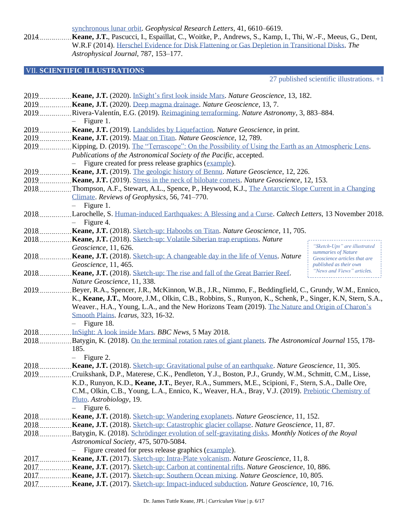[synchronous lunar orbit.](http://rdcu.be/xMJg/) *Geophysical Research Letters*, 41, 6610–6619.

2014 **Keane, J.T.**, Pascucci, I., Espaillat, C., Woitke, P., Andrews, S., Kamp, I., Thi, W.-F., Meeus, G., Dent, W.R.F (2014). [Herschel Evidence for Disk Flattening or Gas Depletion in Transitional Disks.](http://iopscience.iop.org/article/10.1088/0004-637X/787/2/153/meta) *The Astrophysical Journal*, 787, 153–177.

## VII. **SCIENTIFIC ILLUSTRATIONS**

27 published scientific illustrations. +1

| 2019.  | Keane, J.T. (2020). InSight's first look inside Mars. Nature Geoscience, 13, 182.                                                          |  |
|--------|--------------------------------------------------------------------------------------------------------------------------------------------|--|
| 2019   | Keane, J.T. (2020). Deep magma drainage. Nature Geoscience, 13, 7.                                                                         |  |
| 2019   | Rivera-Valentín, E.G. (2019). Reimagining terraforming. Nature Astronomy, 3, 883–884.                                                      |  |
|        | Figure 1.                                                                                                                                  |  |
| 2019.  | Keane, J.T. (2019). Landslides by Liquefaction. Nature Geoscience, in print.                                                               |  |
| 2019.  | Keane, J.T. (2019). Maar on Titan. Nature Geoscience, 12, 789.                                                                             |  |
| 2019.  | Kipping, D. (2019). The "Terrascope": On the Possibility of Using the Earth as an Atmospheric Lens.                                        |  |
|        | Publications of the Astronomical Society of the Pacific, accepted.                                                                         |  |
|        | - Figure created for press release graphics (example).                                                                                     |  |
| 2019.  | <b>Keane, J.T.</b> (2019). The geologic history of Bennu. Nature Geoscience, 12, 226.                                                      |  |
| 2019   | Keane, J.T. (2019). Stress in the neck of bilobate comets. Nature Geoscience, 12, 153.                                                     |  |
| 2018   | Thompson, A.F., Stewart, A.L., Spence, P., Heywood, K.J., The Antarctic Slope Current in a Changing                                        |  |
|        | Climate. Reviews of Geophysics, 56, 741-770.                                                                                               |  |
|        | Figure 1.<br>$\overline{\phantom{0}}$                                                                                                      |  |
| $2018$ | Larochelle, S. Human-induced Earthquakes: A Blessing and a Curse. Caltech Letters, 13 November 2018.                                       |  |
|        | $-$ Figure 4.                                                                                                                              |  |
| 2018   | Keane, J.T. (2018). Sketch-up: Haboobs on Titan. Nature Geoscience, 11, 705.                                                               |  |
| 2018   | Keane, J.T. (2018). Sketch-up: Volatile Siberian trap eruptions. Nature                                                                    |  |
|        | "Sketch-Ups" are illustrated<br>Geoscience, 11, 626.                                                                                       |  |
| 2018.  | summaries of Nature<br><b>Keane, J.T.</b> (2018). Sketch-up: A changeable day in the life of Venus. Nature<br>Geoscience articles that are |  |
|        | Geoscience, 11, 465.<br>published as their own                                                                                             |  |
| 2018   | "News and Views" articles.<br>Keane, J.T. (2018). Sketch-up: The rise and fall of the Great Barrier Reef.                                  |  |
|        | Nature Geoscience, 11, 338.                                                                                                                |  |
| 2019   | Beyer, R.A., Spencer, J.R., McKinnon, W.B., J.R., Nimmo, F., Beddingfield, C., Grundy, W.M., Ennico,                                       |  |
|        | K., Keane, J.T., Moore, J.M., Olkin, C.B., Robbins, S., Runyon, K., Schenk, P., Singer, K.N, Stern, S.A.,                                  |  |
|        | Weaver., H.A., Young, L.A., and the New Horizons Team (2019). The Nature and Origin of Charon's                                            |  |
|        | Smooth Plains. Icarus, 323, 16-32.                                                                                                         |  |
|        | Figure 18.                                                                                                                                 |  |
| 2018.  | InSight: A look inside Mars. BBC News, 5 May 2018.                                                                                         |  |
| 2018.  | Batygin, K. (2018). On the terminal rotation rates of giant planets. The Astronomical Journal 155, 178-                                    |  |
|        | 185.                                                                                                                                       |  |
|        | Figure 2.<br>$-$                                                                                                                           |  |
| 2018.  | Keane, J.T. (2018). Sketch-up: Gravitational pulse of an earthquake. Nature Geoscience, 11, 305.                                           |  |
| 2019   | Cruikshank, D.P., Materese, C.K., Pendleton, Y.J., Boston, P.J., Grundy, W.M., Schmitt, C.M., Lisse,                                       |  |
|        | K.D., Runyon, K.D., Keane, J.T., Beyer, R.A., Summers, M.E., Scipioni, F., Stern, S.A., Dalle Ore,                                         |  |
|        | C.M., Olkin, C.B., Young, L.A., Ennico, K., Weaver, H.A., Bray, V.J. (2019). Prebiotic Chemistry of                                        |  |
|        | Pluto. Astrobiology, 19.                                                                                                                   |  |
|        | Figure 6.                                                                                                                                  |  |
| 2018   | <b>Keane, J.T.</b> (2018). Sketch-up: Wandering exoplanets. Nature Geoscience, 11, 152.                                                    |  |
|        |                                                                                                                                            |  |
|        | 2018Batygin, K. (2018). Schrödinger evolution of self-gravitating disks. Monthly Notices of the Royal                                      |  |
|        | Astronomical Society, 475, 5070-5084.                                                                                                      |  |
|        | Figure created for press release graphics (example).                                                                                       |  |
|        |                                                                                                                                            |  |
|        |                                                                                                                                            |  |
|        | Keane, J.T. (2017). Sketch-up: Southern Ocean mixing. Nature Geoscience, 10, 805.                                                          |  |
|        | Keane, J.T. (2017). Sketch-up: Impact-induced subduction. Nature Geoscience, 10, 716.                                                      |  |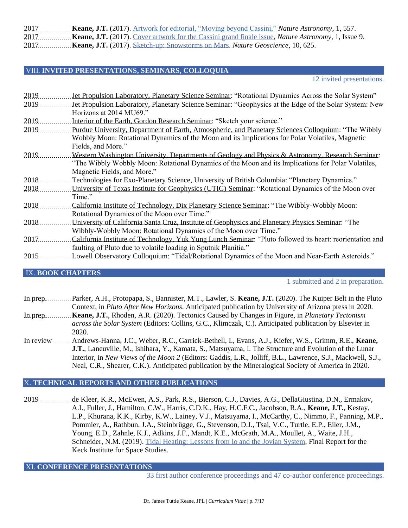2017 **Keane, J.T.** (2017). Artwork for [editorial, "Moving beyond Cassini,"](http://rdcu.be/xMJt) *Nature Astronomy*, 1, 557. 2017 **Keane, J.T.** (2017). [Cover artwork for the Cassini grand finale issue,](https://www.nature.com/natastron/volumes/1/issues/9) *Nature Astronomy*, 1, Issue 9. 2017 **Keane, J.T.** (2017). [Sketch-up: Snowstorms on Mars.](http://rdcu.be/xMJq) *Nature Geoscience*, 10, 625.

#### VIII. **INVITED PRESENTATIONS, SEMINARS, COLLOQUIA**

12 invited presentations.

| 2019 | Jet Propulsion Laboratory, Planetary Science Seminar: "Rotational Dynamics Across the Solar System"      |
|------|----------------------------------------------------------------------------------------------------------|
| 2019 | Jet Propulsion Laboratory, Planetary Science Seminar: "Geophysics at the Edge of the Solar System: New   |
|      | Horizons at 2014 MU69."                                                                                  |
| 2019 | Interior of the Earth, Gordon Research Seminar: "Sketch your science."                                   |
| 2019 | Purdue University, Department of Earth, Atmospheric, and Planetary Sciences Colloquium: "The Wibbly      |
|      | Wobbly Moon: Rotational Dynamics of the Moon and its Implications for Polar Volatiles, Magnetic          |
|      | Fields, and More."                                                                                       |
| 2019 | Western Washington University, Departments of Geology and Physics & Astronomy, Research Seminar:         |
|      | "The Wibbly Wobbly Moon: Rotational Dynamics of the Moon and its Implications for Polar Volatiles,       |
|      | Magnetic Fields, and More."                                                                              |
| 2018 | Technologies for Exo-Planetary Science, University of British Columbia: "Planetary Dynamics."            |
| 2018 | University of Texas Institute for Geophysics (UTIG) Seminar: "Rotational Dynamics of the Moon over       |
|      | Time."                                                                                                   |
| 2018 | California Institute of Technology, Dix Planetary Science Seminar: "The Wibbly-Wobbly Moon:              |
|      | Rotational Dynamics of the Moon over Time."                                                              |
| 2018 | University of California Santa Cruz, Institute of Geophysics and Planetary Physics Seminar: "The         |
|      | Wibbly-Wobbly Moon: Rotational Dynamics of the Moon over Time."                                          |
| 2017 | California Institute of Technology, Yuk Yung Lunch Seminar: "Pluto followed its heart: reorientation and |
|      | faulting of Pluto due to volatile loading in Sputnik Planitia."                                          |
| 2015 | Lowell Observatory Colloquium: "Tidal/Rotational Dynamics of the Moon and Near-Earth Asteroids."         |
|      |                                                                                                          |

#### IX. **BOOK CHAPTERS**

1 submitted and 2 in preparation.

- In prep. Parker, A.H., Protopapa, S., Bannister, M.T., Lawler, S. **Keane, J.T.** (2020). The Kuiper Belt in the Pluto Context, in *Pluto After New Horizons*. Anticipated publication by University of Arizona press in 2020.
- In prep. **Keane, J.T.**, Rhoden, A.R. (2020). Tectonics Caused by Changes in Figure, in *Planetary Tectonism across the Solar System* (Editors: Collins, G.C., Klimczak, C.). Anticipated publication by Elsevier in 2020.
- In review Andrews-Hanna, J.C., Weber, R.C., Garrick-Bethell, I., Evans, A.J., Kiefer, W.S., Grimm, R.E., Keane, **J.T.**, Laneuville, M., Ishihara, Y., Kamata, S., Matsuyama, I. The Structure and Evolution of the Lunar Interior, in *New Views of the Moon 2* (Editors: Gaddis, L.R., Jolliff, B.L., Lawrence, S.J., Mackwell, S.J., Neal, C.R., Shearer, C.K.). Anticipated publication by the Mineralogical Society of America in 2020.

#### X. **TECHNICAL REPORTS AND OTHER PUBLICATIONS**

2019 ................de Kleer, K.R., McEwen, A.S., Park, R.S., Bierson, C.J., Davies, A.G., DellaGiustina, D.N., Ermakov, A.I., Fuller, J., Hamilton, C.W., Harris, C.D.K., Hay, H.C.F.C., Jacobson, R.A., **Keane, J.T.**, Kestay, L.P., Khurana, K.K., Kirby, K.W., Lainey, V.J., Matsuyama, I., McCarthy, C., Nimmo, F., Panning, M.P., Pommier, A., Rathbun, J.A., Steinbrügge, G., Stevenson, D.J., Tsai, V.C., Turtle, E.P., Eiler, J.M., Young, E.D., Zahnle, K.J., Adkins, J.F., Mandt, K.E., McGrath, M.A., Moullet, A., Waite, J.H., Schneider, N.M. (2019). [Tidal Heating: Lessons from Io and the Jovian System,](https://www.kiss.caltech.edu/final_reports/Tidal_Heating_final_report.pdf) Final Report for the Keck Institute for Space Studies.

XI. **CONFERENCE PRESENTATIONS**

33 first author conference proceedings and 47 co-author conference proceedings.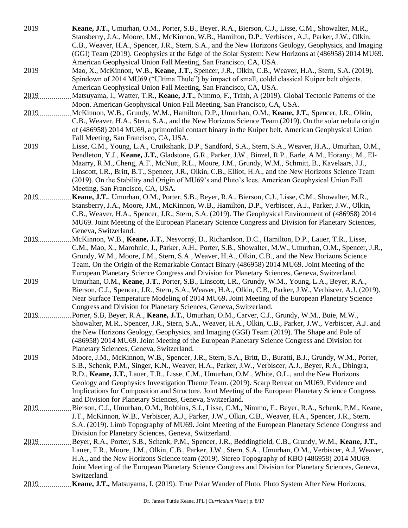2019 **Keane, J.T.**, Umurhan, O.M., Porter, S.B., Beyer, R.A., Bierson, C.J., Lisse, C.M., Showalter, M.R., Stansberry, J.A., Moore, J.M., McKinnon, W.B., Hamilton, D.P., Verbiscer, A.J., Parker, J.W., Olkin, C.B., Weaver, H.A., Spencer, J.R., Stern, S.A., and the New Horizons Geology, Geophysics, and Imaging (GGI) Team (2019). Geophysics at the Edge of the Solar System: New Horizons at (486958) 2014 MU69. American Geophysical Union Fall Meeting, San Francisco, CA, USA. 2019 Mao, X., McKinnon, W.B., **Keane, J.T.**, Spencer, J.R., Olkin, C.B., Weaver, H.A., Stern, S.A. (2019). Spindown of 2014 MU69 ("Ultima Thule") by impact of small, coldd classical Kuiper belt objects. American Geophysical Union Fall Meeting, San Francisco, CA, USA. 2019 Matsuyama, I., Watter, T.R., **Keane, J.T.**, Nimmo, F., Trinh, A (2019). Global Tectonic Patterns of the Moon. American Geophysical Union Fall Meeting, San Francisco, CA, USA. 2019 McKinnon, W.B., Grundy, W.M., Hamilton, D.P., Umurhan, O.M., **Keane, J.T.**, Spencer, J.R., Olkin, C.B., Weaver, H.A., Stern, S.A., and the New Horizons Science Team (2019). On the solar nebula origin of (486958) 2014 MU69, a primordial contact binary in the Kuiper belt. American Geophysical Union Fall Meeting, San Francisco, CA, USA. 2019 Lisse, C.M., Young, L.A., Cruikshank, D.P., Sandford, S.A., Stern, S.A., Weaver, H.A., Umurhan, O.M., Pendleton, Y.J., **Keane, J.T.**, Gladstone, G.R., Parker, J.W., Binzel, R.P., Earle, A.M., Horanyi, M., El-Maarry, R.M., Cheng, A.F., McNutt, R.L., Moore, J.M., Grundy, W.M., Schmitt, B., Kavelaars, J.J., Linscott, I.R., Britt, B.T., Spencer, J.R., Olkin, C.B., Elliot, H.A., and the New Horizons Science Team (2019). On the Stability and Origin of MU69's and Pluto's Ices. American Geophysical Union Fall Meeting, San Francisco, CA, USA. 2019 **Keane, J.T.**, Umurhan, O.M., Porter, S.B., Beyer, R.A., Bierson, C.J., Lisse, C.M., Showalter, M.R., Stansberry, J.A., Moore, J.M., McKinnon, W.B., Hamilton, D.P., Verbiscer, A.J., Parker, J.W., Olkin, C.B., Weaver, H.A., Spencer, J.R., Stern, S.A. (2019). The Geophysical Environment of (486958) 2014 MU69. Joint Meeting of the European Planetary Science Congress and Division for Planetary Sciences, Geneva, Switzerland. 2019 McKinnon, W.B., **Keane, J.T.**, Nesvorný, D., Richardson, D.C., Hamilton, D.P., Lauer, T.R., Lisse, C.M., Mao, X., Marohnic, J., Parker, A.H., Porter, S.B., Showalter, M.W., Umurhan, O.M., Spencer, J.R., Grundy, W.M., Moore, J.M., Stern, S.A., Weaver, H.A., Olkin, C.B., and the New Horizons Science Team. On the Origin of the Remarkable Contact Binary (486958) 2014 MU69. Joint Meeting of the European Planetary Science Congress and Division for Planetary Sciences, Geneva, Switzerland. 2019 Umurhan, O.M., **Keane, J.T.**, Porter, S.B., Linscott, I.R., Grundy, W.M., Young, L.A., Beyer, R.A., Bierson, C.J., Spencer, J.R., Stern, S.A., Weaver, H.A., Olkin, C.B., Parker, J.W., Verbiscer, A.J. (2019). Near Surface Temperature Modeling of 2014 MU69**.** Joint Meeting of the European Planetary Science Congress and Division for Planetary Sciences, Geneva, Switzerland. 2019 Porter, S.B, Beyer, R.A., **Keane, J.T.**, Umurhan, O.M., Carver, C.J., Grundy, W.M., Buie, M.W., Showalter, M.R., Spencer, J.R., Stern, S.A., Weaver, H.A., Olkin, C.B., Parker, J.W., Verbiscer, A.J. and the New Horizons Geology, Geophysics, and Imaging (GGI) Team (2019). The Shape and Pole of (486958) 2014 MU69. Joint Meeting of the European Planetary Science Congress and Division for Planetary Sciences, Geneva, Switzerland. 2019 Moore, J.M., McKinnon, W.B., Spencer, J.R., Stern, S.A., Britt, D., Buratti, B.J., Grundy, W.M., Porter, S.B., Schenk, P.M., Singer, K.N., Weaver, H.A., Parker, J.W., Verbiscer, A.J., Beyer, R.A., Dhingra, R.D., **Keane, J.T.**, Lauer, T.R., Lisse, C.M., Umurhan, O.M., White, O.L., and the New Horizons Geology and Geophysics Investigation Theme Team. (2019). Scarp Retreat on MU69, Evidence and Implications for Composition and Structure. Joint Meeting of the European Planetary Science Congress and Division for Planetary Sciences, Geneva, Switzerland. 2019 Bierson, C.J., Umurhan, O.M., Robbins, S.J., Lisse, C.M., Nimmo, F., Beyer, R.A., Schenk, P.M., Keane, J.T., McKinnon, W.B., Verbiscer, A.J., Parker, J.W., Olkin, C.B., Weaver, H.A., Spencer, J.R., Stern, S.A. (2019). Limb Topography of MU69. Joint Meeting of the European Planetary Science Congress and Division for Planetary Sciences, Geneva, Switzerland. 2019 Beyer, R.A., Porter, S.B., Schenk, P.M., Spencer, J.R., Beddingfield, C.B., Grundy, W.M., **Keane, J.T.**, Lauer, T.R., Moore, J.M., Olkin, C.B., Parker, J.W., Stern, S.A., Umurhan, O.M., Verbiscer, A.J, Weaver, H.A., and the New Horizons Science team (2019). Stereo Topography of KBO (486958) 2014 MU69. Joint Meeting of the European Planetary Science Congress and Division for Planetary Sciences, Geneva, Switzerland. 2019 **Keane, J.T.,** Matsuyama, I. (2019). True Polar Wander of Pluto. Pluto System After New Horizons,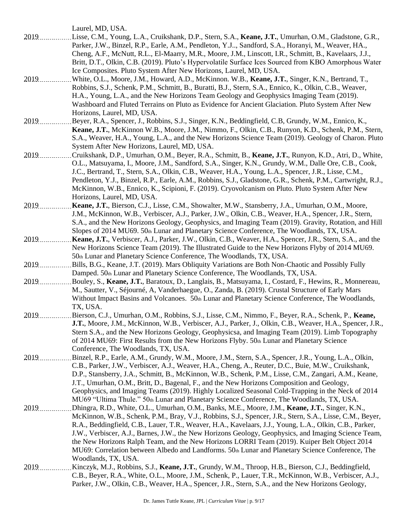Laurel, MD, USA.

- 2019 Lisse, C.M., Young, L.A., Cruikshank, D.P., Stern, S.A., **Keane, J.T.**, Umurhan, O.M., Gladstone, G.R., Parker, J.W., Binzel, R.P., Earle, A.M., Pendleton, Y.J.., Sandford, S.A., Horanyi, M., Weaver, HA., Cheng, A.F., McNutt, R.L., El-Maarry, M.R., Moore, J.M., Linscott, I.R., Schmitt, B., Kavelaars, J.J., Britt, D.T., Olkin, C.B. (2019). Pluto's Hypervolatile Surface Ices Sourced from KBO Amorphous Water Ice Composites. Pluto System After New Horizons, Laurel, MD, USA.
- 2019 White, O.L., Moore, J.M., Howard, A.D., McKinnon. W.B., **Keane, J.T.**, Singer, K.N., Bertrand, T., Robbins, S.J., Schenk, P.M., Schmitt, B., Buratti, B.J., Stern, S.A., Ennico, K., Olkin, C.B., Weaver, H.A., Young, L.A., and the New Horizons Team Geology and Geophysics Imaging Team (2019). Washboard and Fluted Terrains on Pluto as Evidence for Ancient Glaciation. Pluto System After New Horizons, Laurel, MD, USA.
- 2019 Beyer, R.A., Spencer, J., Robbins, S.J., Singer, K.N., Beddingfield, C.B, Grundy, W.M., Ennico, K., **Keane, J.T.**, McKinnon W.B., Moore, J.M., Nimmo, F., Olkin, C.B., Runyon, K.D., Schenk, P.M., Stern, S.A., Weaver, H.A., Young, L.A., and the New Horizons Science Team (2019). Geology of Charon. Pluto System After New Horizons, Laurel, MD, USA.
- 2019 Cruikshank, D.P., Umurhan, O.M., Beyer, R.A., Schmitt, B., Keane, J.T., Runyon, K.D., Atri, D., White, O.L., Matsuyama, I., Moore, J.M., Sandford, S.A., Singer, K.N., Grundy, W.M., Dalle Ore, C.B., Cook, J.C., Bertrand, T., Stern, S.A., Olkin, C.B., Weaver, H.A., Young, L.A., Spencer, J.R., Lisse, C.M., Pendleton, Y.J., Binzel, R.P., Earle, A.M., Robbins, S.J., Gladstone, G.R., Schenk, P.M., Cartwright, R.J., McKinnon, W.B., Ennico, K., Scipioni, F. (2019). Cryovolcanism on Pluto. Pluto System After New Horizons, Laurel, MD, USA.
- 2019 **Keane, J.T.**, Bierson, C.J., Lisse, C.M., Showalter, M.W., Stansberry, J.A., Umurhan, O.M., Moore, J.M., McKinnon, W.B., Verbiscer, A.J., Parker, J.W., Olkin, C.B., Weaver, H.A., Spencer, J.R., Stern, S.A., and the New Horizons Geology, Geophysics, and Imaging Team (2019). Gravity, Rotation, and Hill Slopes of 2014 MU69. 50th Lunar and Planetary Science Conference, The Woodlands, TX, USA.
- 2019 **Keane, J.T.**, Verbiscer, A.J., Parker, J.W., Olkin, C.B., Weaver, H.A., Spencer, J.R., Stern, S.A., and the New Horizons Science Team (2019). The Illustrated Guide to the New Horizons Flyby of 2014 MU69. 50th Lunar and Planetary Science Conference, The Woodlands, TX, USA.
- 2019 Bills, B.G., Keane, J.T. (2019). Mars Obliquity Variations are Both Non-Chaotic and Possibly Fully Damped. 50th Lunar and Planetary Science Conference, The Woodlands, TX, USA.
- 2019 Bouley, S., **Keane, J.T.**, Baratoux, D., Langlais, B., Matsuyama, I., Costard, F., Hewins, R., Monnereau, M., Sautter, V., Séjourné, A, Vanderhaegue, O., Zanda, B. (2019). Crustal Structure of Early Mars Without Impact Basins and Volcanoes. 50th Lunar and Planetary Science Conference, The Woodlands, TX, USA.
- 2019 Bierson, C.J., Umurhan, O.M., Robbins, S.J., Lisse, C.M., Nimmo, F., Beyer, R.A., Schenk, P., **Keane, J.T.**, Moore, J.M., McKinnon, W.B., Verbiscer, A.J., Parker, J., Olkin, C.B., Weaver, H.A., Spencer, J.R., Stern S.A., and the New Horizons Geology, Geophysicsa, and Imaging Team (2019). Limb Topography of 2014 MU69: First Results from the New Horizons Flyby. 50th Lunar and Planetary Science Conference, The Woodlands, TX, USA.
- 2019 Binzel, R.P., Earle, A.M., Grundy, W.M., Moore, J.M., Stern, S.A., Spencer, J.R., Young, L.A., Olkin, C.B., Parker, J.W., Verbiscer, A.J., Weaver, H.A., Cheng, A., Reuter, D.C., Buie, M.W., Cruikshank, D.P., Stansberry, J.A., Schmitt, B., McKinnon, W.B., Schenk, P.M., Lisse, C.M., Zangari, A.M., Keane, J.T., Umurhan, O.M., Britt, D., Bagenal, F., and the New Horizons Composition and Geology, Geophysics, and Imaging Teams (2019). Highly Localized Seasonal Cold-Trapping in the Neck of 2014 MU69 "Ultima Thule." 50th Lunar and Planetary Science Conference, The Woodlands, TX, USA.
- 2019 Dhingra, R.D., White, O.L., Umurhan, O.M., Banks, M.E., Moore, J.M., **Keane, J.T.**, Singer, K.N., McKinnon, W.B., Schenk, P.M., Bray, V.J., Robbins, S.J., Spencer, J.R., Stern, S.A., Lisse, C.M., Beyer, R.A., Beddingfield, C.B., Lauer, T.R., Weaver, H.A., Kavelaars, J.J., Young, L.A., Olkin, C.B., Parker, J.W., Verbiscer, A.J., Barnes, J.W., the New Horizons Geology, Geophysics, and Imaging Science Team, the New Horizons Ralph Team, and the New Horizons LORRI Team (2019). Kuiper Belt Object 2014 MU69: Correlation between Albedo and Landforms. 50th Lunar and Planetary Science Conference, The Woodlands, TX, USA.
- 2019 Kinczyk, M.J., Robbins, S.J., **Keane, J.T.**, Grundy, W.M., Throop, H.B., Bierson, C.J., Beddingfield, C.B., Beyer, R.A., White, O.L., Moore, J.M., Schenk, P., Lauer, T.R., McKinnon, W.B., Verbiscer, A.J., Parker, J.W., Olkin, C.B., Weaver, H.A., Spencer, J.R., Stern, S.A., and the New Horizons Geology,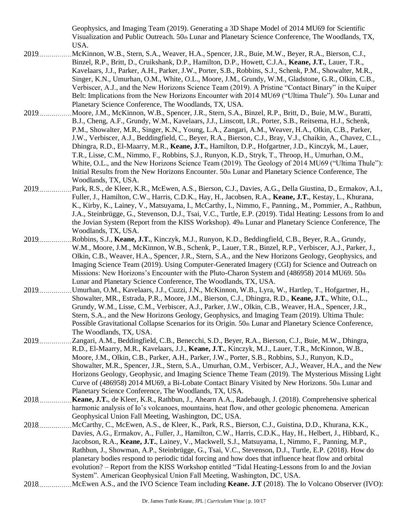Geophysics, and Imaging Team (2019). Generating a 3D Shape Model of 2014 MU69 for Scientific Visualization and Public Outreach. 50th Lunar and Planetary Science Conference, The Woodlands, TX, USA.

- 2019 McKinnon, W.B., Stern, S.A., Weaver, H.A., Spencer, J.R., Buie, M.W., Beyer, R.A., Bierson, C.J., Binzel, R.P., Britt, D., Cruikshank, D.P., Hamilton, D.P., Howett, C.J.A., **Keane, J.T.**, Lauer, T.R., Kavelaars, J.J., Parker, A.H., Parker, J.W., Porter, S.B., Robbins, S.J., Schenk, P.M., Showalter, M.R., Singer, K.N., Umurhan, O.M., White, O.L., Moore, J.M., Grundy, W.M., Gladstone, G.R., Olkin, C.B., Verbiscer, A.J., and the New Horizons Science Team (2019). A Pristine "Contact Binary" in the Kuiper Belt: Implications from the New Horizons Encounter with 2014 MU69 ("Ultima Thule"). 50th Lunar and Planetary Science Conference, The Woodlands, TX, USA.
- 2019 Moore, J.M., McKinnon, W.B., Spencer, J.R., Stern, S.A., Binzel, R.P., Britt, D., Buie, M.W., Buratti, B.J., Cheng, A.F., Grundy, W.M., Kavelaars, J.J., Linscott, I.R., Porter, S.B., Reitsema, H.J., Schenk, P.M., Showalter, M.R., Singer, K.N., Young, L.A., Zangari, A.M., Weaver, H.A., Olkin, C.B., Parker, J.W., Verbiscer, A.J., Beddingfield, C., Beyer, R.A., Bierson, C.J., Bray, V.J., Chaikin, A., Chavez, C.L., Dhingra, R.D., El-Maarry, M.R., **Keane, J.T.**, Hamilton, D.P., Hofgartner, J.D., Kinczyk, M., Lauer, T.R., Lisse, C.M., Nimmo, F., Robbins, S.J., Runyon, K.D., Stryk, T., Throop, H., Umurhan, O.M., White, O.L., and the New Horizons Science Team (2019). The Geology of 2014 MU69 ("Ultima Thule"): Initial Results from the New Horizons Encounter. 50th Lunar and Planetary Science Conference, The Woodlands, TX, USA.
- 2019 Park, R.S., de Kleer, K.R., McEwen, A.S., Bierson, C.J., Davies, A.G., Della Giustina, D., Ermakov, A.I., Fuller, J., Hamilton, C.W., Harris, C.D.K., Hay, H., Jacobsen, R.A., **Keane, J.T.**, Kestay, L., Khurana, K., Kirby, K., Lainey, V., Matsuyama, I., McCarthy, I., Nimmo, F., Panning., M., Pommier, A., Rathbun, J.A., Steinbrügge, G., Stevenson, D.J., Tsai, V.C., Turtle, E.P. (2019). Tidal Heating: Lessons from Io and the Jovian System (Report from the KISS Workshop). 49th Lunar and Planetary Science Conference, The Woodlands, TX, USA.
- 2019 Robbins, S.J., **Keane, J.T.**, Kinczyk, M.J., Runyon, K.D., Beddingfield, C.B., Beyer, R.A., Grundy, W.M., Moore, J.M., McKinnon, W.B., Schenk, P., Lauer, T.R., Binzel, R.P., Verbiscer, A.J., Parker, J., Olkin, C.B., Weaver, H.A., Spencer, J.R., Stern, S.A., and the New Horizons Geology, Geophysics, and Imaging Science Team (2019). Using Computer-Generated Imagery (CGI) for Science and Outreach on Missions: New Horizons's Encounter with the Pluto-Charon System and  $(486958)$  2014 MU69,  $50<sub>th</sub>$ Lunar and Planetary Science Conference, The Woodlands, TX, USA.
- 2019 Umurhan, O.M., Kavelaars, J.J., Cuzzi, J.N., McKinnon, W.B., Lyra, W., Hartlep, T., Hofgartner, H., Showalter, MR., Estrada, P.R., Moore, J.M., Bierson, C.J., Dhingra, R.D., **Keane, J.T.**, White, O.L., Grundy, W.M., Lisse, C.M., Verbiscer, A.J., Parker, J.W., Olkin, C.B., Weaver, H.A., Spencer, J.R., Stern, S.A., and the New Horizons Geology, Geophysics, and Imaging Team (2019). Ultima Thule: Possible Gravitational Collapse Scenarios for its Origin. 50th Lunar and Planetary Science Conference, The Woodlands, TX, USA.
- 2019 Zangari, A.M., Beddingfield, C.B., Benecchi, S.D., Beyer, R.A., Bierson, C.J., Buie, M.W., Dhingra, R.D., El-Maarry, M.R., Kavelaars, J.J., **Keane, J.T.**, Kinczyk, M.J., Lauer, T.R., McKinnon, W.B., Moore, J.M., Olkin, C.B., Parker, A.H., Parker, J.W., Porter, S.B., Robbins, S.J., Runyon, K.D., Showalter, M.R., Spencer, J.R., Stern, S.A., Umurhan, O.M., Verbiscer, A.J., Weaver, H.A., and the New Horizons Geology, Geophysic, and Imaging Science Theme Team (2019). The Mysterious Missing Light Curve of (486958) 2014 MU69, a Bi-Lobate Contact Binary Visited by New Horizons. 50th Lunar and Planetary Science Conference, The Woodlands, TX, USA.
- 2018 **Keane, J.T.**, de Kleer, K.R., Rathbun, J., Ahearn A.A., Radebaugh, J. (2018). Comprehensive spherical harmonic analysis of Io's volcanoes, mountains, heat flow, and other geologic phenomena. American Geophysical Union Fall Meeting, Washington, DC, USA.
- 2018 McCarthy, C., McEwen, A.S., de Kleer, K., Park, R.S., Bierson, C.J., Guistina, D.D., Khurana, K.K., Davies, A.G., Ermakov, A., Fuller, J., Hamilton, C.W., Harris, C.D.K., Hay, H., Helbert, J., Hibbard, K., Jacobson, R.A., **Keane, J.T.**, Lainey, V., Mackwell, S.J., Matsuyama, I., Nimmo, F., Panning, M.P., Rathbun, J., Showman, A.P., Steinbrügge, G., Tsai, V.C., Stevenson, D.J., Turtle, E.P. (2018). How do planetary bodies respond to periodic tidal forcing and how does that influence heat flow and orbital evolution? – Report from the KISS Workshop entitled "Tidal Heating-Lessons from Io and the Jovian System". American Geophysical Union Fall Meeting, Washington, DC, USA.
- 2018 ................... McEwen A.S., and the IVO Science Team including **Keane. J.T** (2018). The Io Volcano Observer (IVO):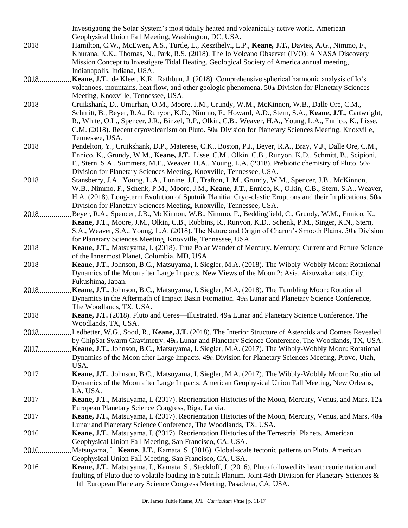|        | Investigating the Solar System's most tidally heated and volcanically active world. American                     |
|--------|------------------------------------------------------------------------------------------------------------------|
|        | Geophysical Union Fall Meeting, Washington, DC, USA.                                                             |
| 2018   | Hamilton, C.W., McEwen, A.S., Turtle, E., Keszthelyi, L.P., Keane, J.T., Davies, A.G., Nimmo, F.,                |
|        | Khurana, K.K., Thomas, N., Park, R.S. (2018). The Io Volcano Observer (IVO): A NASA Discovery                    |
|        | Mission Concept to Investigate Tidal Heating. Geological Society of America annual meeting,                      |
|        | Indianapolis, Indiana, USA.                                                                                      |
|        |                                                                                                                  |
| $2018$ | Keane, J.T., de Kleer, K.R., Rathbun, J. (2018). Comprehensive spherical harmonic analysis of Io's               |
|        | volcanoes, mountains, heat flow, and other geologic phenomena. 50th Division for Planetary Sciences              |
|        | Meeting, Knoxville, Tennessee, USA.                                                                              |
| 2018   | Cruikshank, D., Umurhan, O.M., Moore, J.M., Grundy, W.M., McKinnon, W.B., Dalle Ore, C.M.,                       |
|        | Schmitt, B., Beyer, R.A., Runyon, K.D., Nimmo, F., Howard, A.D., Stern, S.A., Keane, J.T., Cartwright,           |
|        | R., White, O.L., Spencer, J.R., Binzel, R.P., Olkin, C.B., Weaver, H.A., Young, L.A., Ennico, K., Lisse,         |
|        | C.M. (2018). Recent cryovolcanism on Pluto. 50th Division for Planetary Sciences Meeting, Knoxville,             |
|        | Tennessee, USA.                                                                                                  |
| 2018   | Pendelton, Y., Cruikshank, D.P., Materese, C.K., Boston, P.J., Beyer, R.A., Bray, V.J., Dalle Ore, C.M.,         |
|        | Ennico, K., Grundy, W.M., Keane, J.T., Lisse, C.M., Olkin, C.B., Runyon, K.D., Schmitt, B., Scipioni,            |
|        | F., Stern, S.A., Summers, M.E., Weaver, H.A., Young, L.A. (2018). Prebiotic chemistry of Pluto. 50th             |
|        | Division for Planetary Sciences Meeting, Knoxville, Tennessee, USA.                                              |
| 2018   |                                                                                                                  |
|        | Stansberry, J.A., Young, L.A., Lunine, J.I., Trafton, L.M., Grundy, W.M., Spencer, J.B., McKinnon,               |
|        | W.B., Nimmo, F., Schenk, P.M., Moore, J.M., Keane, J.T., Ennico, K., Olkin, C.B., Stern, S.A., Weaver,           |
|        | H.A. (2018). Long-term Evolution of Sputnik Planitia: Cryo-clastic Eruptions and their Implications. 50th        |
|        | Division for Planetary Sciences Meeting, Knoxville, Tennessee, USA.                                              |
| 2018.  | Beyer, R.A., Spencer, J.B., McKinnon, W.B., Nimmo, F., Beddingfield, C., Grundy, W.M., Ennico, K.,               |
|        | Keane, J.T., Moore, J.M., Olkin, C.B., Robbins, R., Runyon, K.D., Schenk, P.M., Singer, K.N., Stern,             |
|        | S.A., Weaver, S.A., Young, L.A. (2018). The Nature and Origin of Charon's Smooth Plains. 50th Division           |
|        | for Planetary Sciences Meeting, Knoxville, Tennessee, USA.                                                       |
| 2018.  | Keane, J.T., Matsuyama, I. (2018). True Polar Wander of Mercury. Mercury: Current and Future Science             |
|        | of the Innermost Planet, Columbia, MD, USA.                                                                      |
| 2018   | Keane, J.T., Johnson, B.C., Matsuyama, I. Siegler, M.A. (2018). The Wibbly-Wobbly Moon: Rotational               |
|        | Dynamics of the Moon after Large Impacts. New Views of the Moon 2: Asia, Aizuwakamatsu City,                     |
|        | Fukushima, Japan.                                                                                                |
| 2018   | Keane, J.T., Johnson, B.C., Matsuyama, I. Siegler, M.A. (2018). The Tumbling Moon: Rotational                    |
|        | Dynamics in the Aftermath of Impact Basin Formation. 49th Lunar and Planetary Science Conference,                |
|        | The Woodlands, TX, USA.                                                                                          |
| 2018.  | <b>Keane, J.T.</b> (2018). Pluto and Ceres—Illustrated. $49th$ Lunar and Planetary Science Conference, The       |
|        | Woodlands, TX, USA.                                                                                              |
| 2018   | Ledbetter, W.G., Sood, R., Keane, J.T. (2018). The Interior Structure of Asteroids and Comets Revealed           |
|        | by ChipSat Swarm Gravimetry. 49th Lunar and Planetary Science Conference, The Woodlands, TX, USA.                |
|        |                                                                                                                  |
|        | Keane, J.T., Johnson, B.C., Matsuyama, I. Siegler, M.A. (2017). The Wibbly-Wobbly Moon: Rotational               |
|        | Dynamics of the Moon after Large Impacts. 49th Division for Planetary Sciences Meeting, Provo, Utah,             |
|        | USA.                                                                                                             |
| 2017   | Keane, J.T., Johnson, B.C., Matsuyama, I. Siegler, M.A. (2017). The Wibbly-Wobbly Moon: Rotational               |
|        | Dynamics of the Moon after Large Impacts. American Geophysical Union Fall Meeting, New Orleans,                  |
|        | LA, USA.                                                                                                         |
| 2017   | <b>Keane, J.T.</b> , Matsuyama, I. (2017). Reorientation Histories of the Moon, Mercury, Venus, and Mars. $12th$ |
|        | European Planetary Science Congress, Riga, Latvia.                                                               |
|        | 2017 Keane, J.T., Matsuyama, I. (2017). Reorientation Histories of the Moon, Mercury, Venus, and Mars. 48th      |
|        | Lunar and Planetary Science Conference, The Woodlands, TX, USA.                                                  |
| $2016$ | Keane, J.T., Matsuyama, I. (2017). Reorientation Histories of the Terrestrial Planets. American                  |
|        | Geophysical Union Fall Meeting, San Francisco, CA, USA.                                                          |
| 2016   | Matsuyama, I., Keane, J.T., Kamata, S. (2016). Global-scale tectonic patterns on Pluto. American                 |
|        | Geophysical Union Fall Meeting, San Francisco, CA, USA.                                                          |
| 2016   | Keane, J.T., Matsuyama, I., Kamata, S., Steckloff, J. (2016). Pluto followed its heart: reorientation and        |
|        | faulting of Pluto due to volatile loading in Sputnik Planum. Joint 48th Division for Planetary Sciences &        |
|        | 11th European Planetary Science Congress Meeting, Pasadena, CA, USA.                                             |
|        |                                                                                                                  |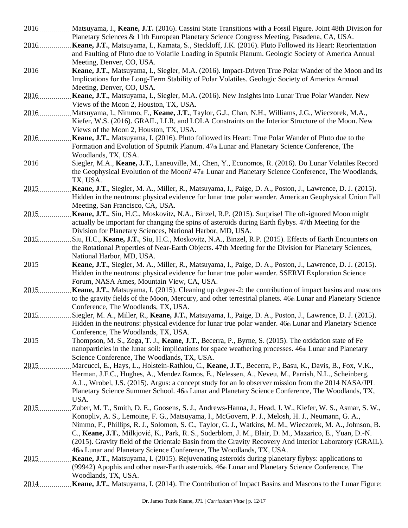- 2016 Matsuyama, I., **Keane, J.T.** (2016). Cassini State Transitions with a Fossil Figure. Joint 48th Division for Planetary Sciences & 11th European Planetary Science Congress Meeting, Pasadena, CA, USA.
- 2016 **Keane, J.T.**, Matsuyama, I., Kamata, S., Steckloff, J.K. (2016). Pluto Followed its Heart: Reorientation and Faulting of Pluto due to Volatile Loading in Sputnik Planum. Geologic Society of America Annual Meeting, Denver, CO, USA.
- 2016 **Keane, J.T.**, Matsuyama, I., Siegler, M.A. (2016). Impact-Driven True Polar Wander of the Moon and its Implications for the Long-Term Stability of Polar Volatiles. Geologic Society of America Annual Meeting, Denver, CO, USA.
- 2016 **Keane, J.T.**, Matsuyama, I., Siegler, M.A. (2016). New Insights into Lunar True Polar Wander. New Views of the Moon 2, Houston, TX, USA.
- 2016 Matsuyama, I., Nimmo, F., **Keane, J.T.**, Taylor, G.J., Chan, N.H., Williams, J.G., Wieczorek, M.A., Kiefer, W.S. (2016). GRAIL, LLR, and LOLA Constraints on the Interior Structure of the Moon. New Views of the Moon 2, Houston, TX, USA.
- 2016 **Keane, J.T.**, Matsuyama, I. (2016). Pluto followed its Heart: True Polar Wander of Pluto due to the Formation and Evolution of Sputnik Planum. 47th Lunar and Planetary Science Conference, The Woodlands, TX, USA.
- 2016 Siegler, M.A., **Keane, J.T.**, Laneuville, M., Chen, Y., Economos, R. (2016). Do Lunar Volatiles Record the Geophysical Evolution of the Moon? 47th Lunar and Planetary Science Conference, The Woodlands, TX, USA.
- 2015 **Keane, J.T.**, Siegler, M. A., Miller, R., Matsuyama, I., Paige, D. A., Poston, J., Lawrence, D. J. (2015). Hidden in the neutrons: physical evidence for lunar true polar wander. American Geophysical Union Fall Meeting, San Francisco, CA, USA.
- 2015 **Keane, J.T.**, Siu, H.C., Moskovitz, N.A., Binzel, R.P. (2015). Surprise! The oft-ignored Moon might actually be important for changing the spins of asteroids during Earth flybys. 47th Meeting for the Division for Planetary Sciences, National Harbor, MD, USA.
- 2015 Simmers Siu, H.C., Keane, J.T., Siu, H.C., Moskovitz, N.A., Binzel, R.P. (2015). Effects of Earth Encounters on the Rotational Properties of Near-Earth Objects. 47th Meeting for the Division for Planetary Sciences, National Harbor, MD, USA.
- 2015 **Keane, J.T.**, Siegler, M. A., Miller, R., Matsuyama, I., Paige, D. A., Poston, J., Lawrence, D. J. (2015). Hidden in the neutrons: physical evidence for lunar true polar wander. SSERVI Exploration Science Forum, NASA Ames, Mountain View, CA, USA.
- 2015 **Keane, J.T.**, Matsuyama, I. (2015). Cleaning up degree-2: the contribution of impact basins and mascons to the gravity fields of the Moon, Mercury, and other terrestrial planets. 46th Lunar and Planetary Science Conference, The Woodlands, TX, USA.
- 2015 Siegler, M. A., Miller, R., Keane, J.T., Matsuyama, I., Paige, D. A., Poston, J., Lawrence, D. J. (2015). Hidden in the neutrons: physical evidence for lunar true polar wander. 46th Lunar and Planetary Science Conference, The Woodlands, TX, USA.
- 2015 Thompson, M. S., Zega, T. J., **Keane, J.T.**, Becerra, P., Byrne, S. (2015). The oxidation state of Fe nanoparticles in the lunar soil: implications for space weathering processes.  $46<sub>th</sub>$  Lunar and Planetary Science Conference, The Woodlands, TX, USA.
- 2015 Marcucci, E., Hays, L., Holstein-Rathlou, C., **Keane, J.T.**, Becerra, P., Basu, K., Davis, B., Fox, V.K., Herman, J.F.C., Hughes, A., Mendez Ramos, E., Nelessen, A., Neveu, M., Parrish, N.L., Scheinberg, A.L., Wrobel, J.S. (2015). Argus: a concept study for an Io observer mission from the 2014 NASA/JPL Planetary Science Summer School.  $46<sub>th</sub>$  Lunar and Planetary Science Conference, The Woodlands, TX, USA.
- 2015 Zuber, M. T., Smith, D. E., Goosens, S. J., Andrews-Hanna, J., Head, J. W., Kiefer, W. S., Asmar, S. W., Konopliv, A. S., Lemoine, F. G., Matsuyama, I., McGovern, P. J., Melosh, H. J., Neumann, G. A., Nimmo, F., Phillips, R. J., Solomon, S. C., Taylor, G. J., Watkins, M. M., Wieczorek, M. A., Johnson, B. C., **Keane, J.T.**, Milkjović, K., Park, R. S., Soderblom, J. M., Blair, D. M., Mazarico, E., Yuan, D.-N. (2015). Gravity field of the Orientale Basin from the Gravity Recovery And Interior Laboratory (GRAIL). 46th Lunar and Planetary Science Conference, The Woodlands, TX, USA.
- 2015 **Keane, J.T.**, Matsuyama, I. (2015). Rejuvenating asteroids during planetary flybys: applications to (99942) Apophis and other near-Earth asteroids. 46th Lunar and Planetary Science Conference, The Woodlands, TX, USA.
- 2014 **Keane, J.T.**, Matsuyama, I. (2014). The Contribution of Impact Basins and Mascons to the Lunar Figure: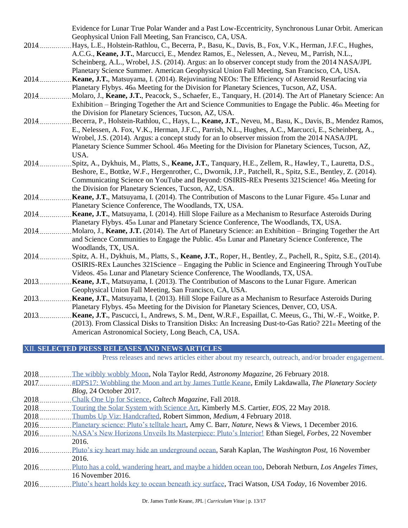Evidence for Lunar True Polar Wander and a Past Low-Eccentricity, Synchronous Lunar Orbit. American Geophysical Union Fall Meeting, San Francisco, CA, USA.

- 2014 .................Hays, L.E., Holstein-Rathlou, C., Becerra, P., Basu, K., Davis, B., Fox, V.K., Herman, J.F.C., Hughes, A.C.G., **Keane, J.T.**, Marcucci, E., Mendez Ramos, E., Nelessen, A., Neveu, M., Parrish, N.L., Scheinberg, A.L., Wrobel, J.S. (2014). Argus: an Io observer concept study from the 2014 NASA/JPL Planetary Science Summer. American Geophysical Union Fall Meeting, San Francisco, CA, USA.
- 2014 **Keane, J.T.**, Matsuyama, I. (2014). Rejuvinating NEOs: The Efficiency of Asteroid Resurfacing via Planetary Flybys. 46th Meeting for the Division for Planetary Sciences, Tucson, AZ, USA.
- 2014 Molaro, J., Keane, J.T., Peacock, S., Schaefer, E., Tanquary, H. (2014). The Art of Planetary Science: An Exhibition – Bringing Together the Art and Science Communities to Engage the Public. 46th Meeting for the Division for Planetary Sciences, Tucson, AZ, USA.
- 2014 Becerra, P., Holstein-Rathlou, C., Hays, L., **Keane, J.T.**, Neveu, M., Basu, K., Davis, B., Mendez Ramos, E., Nelessen, A. Fox, V.K., Herman, J.F.C., Parrish, N.L., Hughes, A.C., Marcucci, E., Scheinberg, A., Wrobel, J.S. (2014). Argus: a concept study for an Io observer mission from the 2014 NASA/JPL Planetary Science Summer School. 46th Meeting for the Division for Planetary Sciences, Tucson, AZ, USA.
- 2014 Spitz, A., Dykhuis, M., Platts, S., **Keane, J.T.**, Tanquary, H.E., Zellem, R., Hawley, T., Lauretta, D.S., Beshore, E., Bottke, W.F., Hergenrother, C., Dwornik, J.P., Patchell, R., Spitz, S.E., Bentley, Z. (2014). Communicating Science on YouTube and Beyond: OSIRIS-REx Presents 321Science! 46th Meeting for the Division for Planetary Sciences, Tucson, AZ, USA.
- 2014 **Keane, J.T.**, Matsuyama, I. (2014). The Contribution of Mascons to the Lunar Figure. 45th Lunar and Planetary Science Conference, The Woodlands, TX, USA.
- 2014 **Keane, J.T.**, Matsuyama, I. (2014). Hill Slope Failure as a Mechanism to Resurface Asteroids During Planetary Flybys. 45th Lunar and Planetary Science Conference, The Woodlands, TX, USA.
- 2014 Molaro, J., **Keane, J.T.** (2014). The Art of Planetary Science: an Exhibition Bringing Together the Art and Science Communities to Engage the Public. 45th Lunar and Planetary Science Conference, The Woodlands, TX, USA.
- 2014 Spitz, A. H., Dykhuis, M., Platts, S., Keane, J.T., Roper, H., Bentley, Z., Pachell, R., Spitz, S.E., (2014). OSIRIS-REx Launches 321Science – Engaging the Public in Science and Engineering Through YouTube Videos. 45th Lunar and Planetary Science Conference, The Woodlands, TX, USA.
- 2013 **Keane, J.T.**, Matsuyama, I. (2013). The Contribution of Mascons to the Lunar Figure. American Geophysical Union Fall Meeting, San Francisco, CA, USA.
- 2013 **Keane, J.T.**, Matsuyama, I. (2013). Hill Slope Failure as a Mechanism to Resurface Asteroids During Planetary Flybys. 45th Meeting for the Division for Planetary Sciences, Denver, CO, USA.
- 2013 **Keane, J.T.**, Pascucci, I., Andrews, S. M., Dent, W.R.F., Espaillat, C. Meeus, G., Thi, W.-F., Woitke, P. (2013). From Classical Disks to Transition Disks: An Increasing Dust-to-Gas Ratio? 221st Meeting of the American Astronomical Society, Long Beach, CA, USA.

XII. **SELECTED PRESS RELEASES AND NEWS ARTICLES**

Press releases and news articles either about my research, outreach, and/or broader engagement.

| 2018 | The wibbly wobbly Moon, Nola Taylor Redd, Astronomy Magazine, 26 February 2018.                          |
|------|----------------------------------------------------------------------------------------------------------|
| 2017 | #DPS17: Wobbling the Moon and art by James Tuttle Keane, Emily Lakdawalla, The Planetary Society         |
|      | Blog, 24 October 2017.                                                                                   |
| 2018 | Chalk One Up for Science, Caltech Magazine, Fall 2018.                                                   |
| 2018 | Touring the Solar System with Science Art, Kimberly M.S. Cartier, EOS, 22 May 2018.                      |
| 2018 | Thumbs Up Viz: Handcrafted, Robert Simmon, Medium, 4 February 2018.                                      |
| 2016 | Planetary science: Pluto's telltale heart, Amy C. Barr, <i>Nature</i> , News & Views, 1 December 2016.   |
| 2016 | NASA's New Horizons Unveils Its Masterpiece: Pluto's Interior! Ethan Siegel, <i>Forbes</i> , 22 November |
|      | 2016.                                                                                                    |
| 2016 | Pluto's icy heart may hide an underground ocean, Sarah Kaplan, The Washington Post, 16 November          |
|      | 2016.                                                                                                    |
| 2016 | Pluto has a cold, wandering heart, and maybe a hidden ocean too, Deborah Netburn, Los Angeles Times,     |
|      | 16 November 2016.                                                                                        |
| 2016 | Pluto's heart holds key to ocean beneath icy surface, Traci Watson, USA Today, 16 November 2016.         |
|      |                                                                                                          |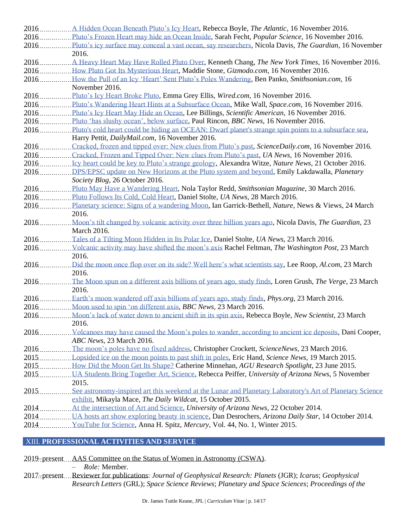| 2016  | Pluto's Frozen Heart may hide an Ocean Inside, Sarah Fecht, <i>Popular Science</i> , 16 November 2016.   |
|-------|----------------------------------------------------------------------------------------------------------|
| 2016  | Pluto's icy surface may conceal a vast ocean, say researchers, Nicola Davis, The Guardian, 16 November   |
|       | 2016.                                                                                                    |
| 2016  | A Heavy Heart May Have Rolled Pluto Over, Kenneth Chang, The New York Times, 16 November 2016.           |
| 2016  | How Pluto Got Its Mysterious Heart, Maddie Stone, Gizmodo.com, 16 November 2016.                         |
| 2016  | How the Pull of an Icy 'Heart' Sent Pluto's Poles Wandering, Ben Panko, Smithsonian.com, 16              |
|       | November 2016.                                                                                           |
|       |                                                                                                          |
|       | 2016Pluto's Wandering Heart Hints at a Subsurface Ocean, Mike Wall, Space.com, 16 November 2016.         |
| 2016  | Pluto's Icy Heart May Hide an Ocean, Lee Billings, Scientific American, 16 November 2016.                |
| 2016  | Pluto 'has slushy ocean', below surface, Paul Rincon, BBC News, 16 November 2016.                        |
|       |                                                                                                          |
| 2016  | Pluto's cold heart could be hiding an OCEAN: Dwarf planet's strange spin points to a subsurface sea,     |
|       | Harry Pettit, DailyMail.com, 16 November 2016.                                                           |
| 2016  | Cracked, frozen and tipped over: New clues from Pluto's past, ScienceDaily.com, 16 November 2016.        |
|       | 2016Cracked, Frozen and Tipped Over: New clues from Pluto's past, UA News, 16 November 2016.             |
|       |                                                                                                          |
|       | 2016DPS/EPSC update on New Horizons at the Pluto system and beyond, Emily Lakdawalla, Planetary          |
|       | Society Blog, 26 October 2016.                                                                           |
| 2016  | Pluto May Have a Wandering Heart, Nola Taylor Redd, Smithsonian Magazine, 30 March 2016.                 |
| 2016  | Pluto Follows Its Cold, Cold Heart, Daniel Stolte, UA News, 28 March 2016.                               |
| 2016  | Planetary science: Signs of a wandering Moon, Ian Garrick-Bethell, Nature, News & Views, 24 March        |
|       | 2016.                                                                                                    |
| 2016. | Moon's tilt changed by volcanic activity over three billion years ago, Nicola Davis, The Guardian, 23    |
|       | March 2016.                                                                                              |
| 2016. | Tales of a Tilting Moon Hidden in Its Polar Ice, Daniel Stolte, UA News, 23 March 2016.                  |
| 2016  | Volcanic activity may have shifted the moon's axis Rachel Feltman, The Washington Post, 23 March         |
|       | 2016.                                                                                                    |
| 2016. | Did the moon once flop over on its side? Well here's what scientists say, Lee Roop, Al.com, 23 March     |
|       | 2016.                                                                                                    |
| 2016. | The Moon spun on a different axis billions of years ago, study finds, Loren Grush, The Verge, 23 March   |
|       | 2016.                                                                                                    |
| 2016  | Earth's moon wandered off axis billions of years ago, study finds, <i>Phys.org</i> , 23 March 2016.      |
| 2016  | Moon used to spin 'on different axis, BBC News, 23 March 2016.                                           |
| 2016  | Moon's lack of water down to ancient shift in its spin axis, Rebecca Boyle, New Scientist, 23 March      |
|       | 2016.                                                                                                    |
| 2016. | Volcanoes may have caused the Moon's poles to wander, according to ancient ice deposits, Dani Cooper,    |
|       | ABC News, 23 March 2016.                                                                                 |
| 2016. | The moon's poles have no fixed address, Christopher Crockett, ScienceNews, 23 March 2016.                |
| 2015. | Lopsided ice on the moon points to past shift in poles, Eric Hand, Science News, 19 March 2015.          |
| 2015. | How Did the Moon Get Its Shape? Catherine Minnehan, AGU Research Spotlight, 23 June 2015.                |
| 2015. | UA Students Bring Together Art, Science, Rebecca Peiffer, University of Arizona News, 5 November         |
|       | 2015.                                                                                                    |
| 2015  | See astronomy-inspired art this weekend at the Lunar and Planetary Laboratory's Art of Planetary Science |
|       | exhibit, Mikayla Mace, The Daily Wildcat, 15 October 2015.                                               |
| 2014. | At the intersection of Art and Science, University of Arizona News, 22 October 2014.                     |
| 2014  | UA hosts art show exploring beauty in science, Dan Desrochers, Arizona Daily Star, 14 October 2014.      |
| 2014. | YouTube for Science, Anna H. Spitz, Mercury, Vol. 44, No. 1, Winter 2015.                                |
|       |                                                                                                          |
|       |                                                                                                          |

# XIII. **PROFESSIONAL ACTIVITIES AND SERVICE**

2019–present AAS Committee on the Status of Women in Astronomy (CSWA).

– *Role:* Member.

2017–present Reviewer for publications: *Journal of Geophysical Research: Planets* (JGR); *Icarus*; *Geophysical Research Letters* (GRL); *Space Science Reviews*; *Planetary and Space Sciences*; *Proceedings of the*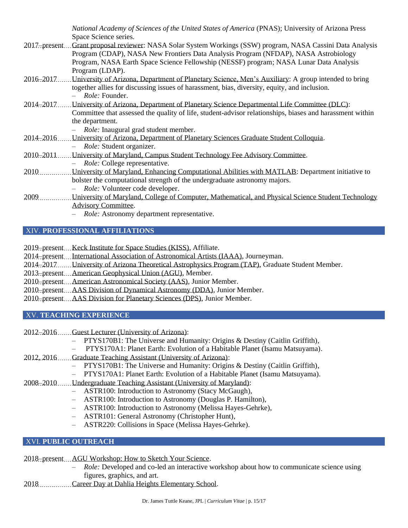*National Academy of Sciences of the United States of America* (PNAS); University of Arizona Press Space Science series. 2017–present Grant proposal reviewer: NASA Solar System Workings (SSW) program, NASA Cassini Data Analysis Program (CDAP), NASA New Frontiers Data Analysis Program (NFDAP), NASA Astrobiology Program, NASA Earth Space Science Fellowship (NESSF) program; NASA Lunar Data Analysis Program (LDAP). 2016–2017 University of Arizona, Department of Planetary Science, Men's Auxiliary: A group intended to bring together allies for discussing issues of harassment, bias, diversity, equity, and inclusion. – *Role:* Founder. 2014–2017 University of Arizona, Department of Planetary Science Departmental Life Committee (DLC): Committee that assessed the quality of life, student-advisor relationships, biases and harassment within the department. – *Role:* Inaugural grad student member. 2014–2016 University of Arizona, Department of Planetary Sciences Graduate Student Colloquia. – *Role:* Student organizer. 2010–2011 University of Maryland, Campus Student Technology Fee Advisory Committee. – *Role:* College representative. 2010 University of Maryland, Enhancing Computational Abilities with MATLAB: Department initiative to bolster the computational strength of the undergraduate astronomy majors. – *Role:* Volunteer code developer. 2009 University of Maryland, College of Computer, Mathematical, and Physical Science Student Technology

Advisory Committee.

– *Role:* Astronomy department representative.

### XIV. **PROFESSIONAL AFFILIATIONS**

2019–present Keck Institute for Space Studies (KISS), Affiliate.

2014–present International Association of Astronomical Artists (IAAA), Journeyman.

- 2014–2017 University of Arizona Theoretical Astrophysics Program (TAP), Graduate Student Member.
- 2013–present American Geophysical Union (AGU), Member.

2010–present American Astronomical Society (AAS), Junior Member.

- 2010–present AAS Division of Dynamical Astronomy (DDA), Junior Member.
- 2010–present AAS Division for Planetary Sciences (DPS), Junior Member.

### XV. **TEACHING EXPERIENCE**

2012–2016 Guest Lecturer (University of Arizona):

- PTYS170B1: The Universe and Humanity: Origins & Destiny (Caitlin Griffith),
- PTYS170A1: Planet Earth: Evolution of a Habitable Planet (Isamu Matsuyama).
- 2012, 2016 Graduate Teaching Assistant (University of Arizona):
	- PTYS170B1: The Universe and Humanity: Origins & Destiny (Caitlin Griffith),
	- PTYS170A1: Planet Earth: Evolution of a Habitable Planet (Isamu Matsuyama).
- 2008–2010 Undergraduate Teaching Assistant (University of Maryland):
	- ASTR100: Introduction to Astronomy (Stacy McGaugh),
	- ASTR100: Introduction to Astronomy (Douglas P. Hamilton),
	- ASTR100: Introduction to Astronomy (Melissa Hayes-Gehrke),
	- ASTR101: General Astronomy (Christopher Hunt),
	- ASTR220: Collisions in Space (Melissa Hayes-Gehrke).

# XVI. **PUBLIC OUTREACH**

2018–present AGU Workshop: How to Sketch Your Science.

- *Role:* Developed and co-led an interactive workshop about how to communicate science using figures, graphics, and art.
- 2018 Career Day at Dahlia Heights Elementary School.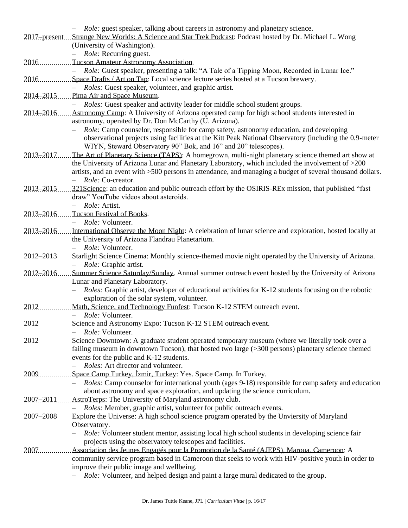|               | - Role: guest speaker, talking about careers in astronomy and planetary science.                                   |
|---------------|--------------------------------------------------------------------------------------------------------------------|
|               | 2017–present Strange New Worlds: A Science and Star Trek Podcast: Podcast hosted by Dr. Michael L. Wong            |
|               | (University of Washington).                                                                                        |
|               | <i>Role:</i> Recurring guest.                                                                                      |
| 2016          | Tucson Amateur Astronomy Association.                                                                              |
|               | Role: Guest speaker, presenting a talk: "A Tale of a Tipping Moon, Recorded in Lunar Ice."<br>$-$                  |
| 2016          | Space Drafts / Art on Tap: Local science lecture series hosted at a Tucson brewery.                                |
|               | Roles: Guest speaker, volunteer, and graphic artist.<br>$\equiv$                                                   |
|               | 2014–2015 Pima Air and Space Museum.                                                                               |
|               | Roles: Guest speaker and activity leader for middle school student groups.                                         |
|               | 2014–2016  Astronomy Camp: A University of Arizona operated camp for high school students interested in            |
|               | astronomy, operated by Dr. Don McCarthy (U. Arizona).                                                              |
|               | <i>Role:</i> Camp counselor, responsible for camp safety, astronomy education, and developing                      |
|               | observational projects using facilities at the Kitt Peak National Observatory (including the 0.9-meter             |
|               | WIYN, Steward Observatory 90" Bok, and 16" and 20" telescopes).                                                    |
|               | 2013–2017 The Art of Planetary Science (TAPS): A homegrown, multi-night planetary science themed art show at       |
|               | the University of Arizona Lunar and Planetary Laboratory, which included the involvement of >200                   |
|               |                                                                                                                    |
|               | artists, and an event with >500 persons in attendance, and managing a budget of several thousand dollars.          |
|               | - Role: Co-creator.                                                                                                |
| 2013-2015     | 321 Science: an education and public outreach effort by the OSIRIS-REx mission, that published "fast"              |
|               | draw" YouTube videos about asteroids.                                                                              |
|               | - Role: Artist.                                                                                                    |
| $2013 - 2016$ | Tucson Festival of Books.                                                                                          |
|               | Role: Volunteer.                                                                                                   |
|               | 2013–2016  International Observe the Moon Night: A celebration of lunar science and exploration, hosted locally at |
|               | the University of Arizona Flandrau Planetarium.                                                                    |
|               | Role: Volunteer.<br>$\overline{\phantom{0}}$                                                                       |
| 2012-2013     | Starlight Science Cinema: Monthly science-themed movie night operated by the University of Arizona.                |
|               | Role: Graphic artist.<br>$-$                                                                                       |
|               | 2012-2016Summer Science Saturday/Sunday. Annual summer outreach event hosted by the University of Arizona          |
|               | Lunar and Planetary Laboratory.                                                                                    |
|               | Roles: Graphic artist, developer of educational activities for K-12 students focusing on the robotic               |
|               | exploration of the solar system, volunteer.                                                                        |
| 2012.         | Math, Science, and Technology Funfest: Tucson K-12 STEM outreach event.                                            |
|               | Role: Volunteer.                                                                                                   |
|               | 2012 Science and Astronomy Expo: Tucson K-12 STEM outreach event.                                                  |
|               | - <i>Role:</i> Volunteer.                                                                                          |
| 2012          | Science Downtown: A graduate student operated temporary museum (where we literally took over a                     |
|               | failing museum in downtown Tucson), that hosted two large (>300 persons) planetary science themed                  |
|               | events for the public and K-12 students.                                                                           |
|               | Roles: Art director and volunteer.                                                                                 |
| 2009          | Space Camp Turkey, Izmir, Turkey: Yes. Space Camp. In Turkey.                                                      |
|               | <i>Roles:</i> Camp counselor for international youth (ages 9-18) responsible for camp safety and education         |
|               | about astronomy and space exploration, and updating the science curriculum.                                        |
| 2007-2011     | AstroTerps: The University of Maryland astronomy club.                                                             |
|               | Roles: Member, graphic artist, volunteer for public outreach events.                                               |
| 2007-2008     | Explore the Universe: A high school science program operated by the Unviersity of Maryland                         |
|               | Observatory.                                                                                                       |
|               | Role: Volunteer student mentor, assisting local high school students in developing science fair                    |
|               | projects using the observatory telescopes and facilities.                                                          |
| 2007          | Association des Jeunes Engagés pour la Promotion de la Santé (AJEPS), Maroua, Cameroon: A                          |
|               | community service program based in Cameroon that seeks to work with HIV-positive youth in order to                 |
|               | improve their public image and wellbeing.                                                                          |
|               | Role: Volunteer, and helped design and paint a large mural dedicated to the group.                                 |
|               |                                                                                                                    |